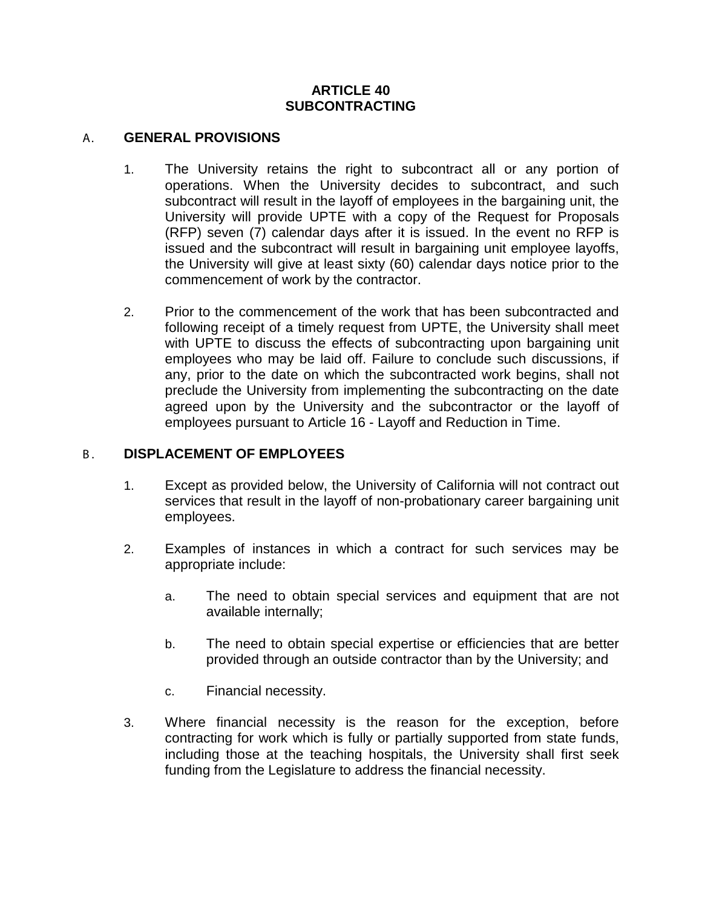## **ARTICLE 40 SUBCONTRACTING**

## A. **GENERAL PROVISIONS**

- 1. The University retains the right to subcontract all or any portion of operations. When the University decides to subcontract, and such subcontract will result in the layoff of employees in the bargaining unit, the University will provide UPTE with a copy of the Request for Proposals (RFP) seven (7) calendar days after it is issued. In the event no RFP is issued and the subcontract will result in bargaining unit employee layoffs, the University will give at least sixty (60) calendar days notice prior to the commencement of work by the contractor.
- 2. Prior to the commencement of the work that has been subcontracted and following receipt of a timely request from UPTE, the University shall meet with UPTE to discuss the effects of subcontracting upon bargaining unit employees who may be laid off. Failure to conclude such discussions, if any, prior to the date on which the subcontracted work begins, shall not preclude the University from implementing the subcontracting on the date agreed upon by the University and the subcontractor or the layoff of employees pursuant to Article 16 - Layoff and Reduction in Time.

## B . **DISPLACEMENT OF EMPLOYEES**

- 1. Except as provided below, the University of California will not contract out services that result in the layoff of non-probationary career bargaining unit employees.
- 2. Examples of instances in which a contract for such services may be appropriate include:
	- a. The need to obtain special services and equipment that are not available internally;
	- b. The need to obtain special expertise or efficiencies that are better provided through an outside contractor than by the University; and
	- c. Financial necessity.
- 3. Where financial necessity is the reason for the exception, before contracting for work which is fully or partially supported from state funds, including those at the teaching hospitals, the University shall first seek funding from the Legislature to address the financial necessity.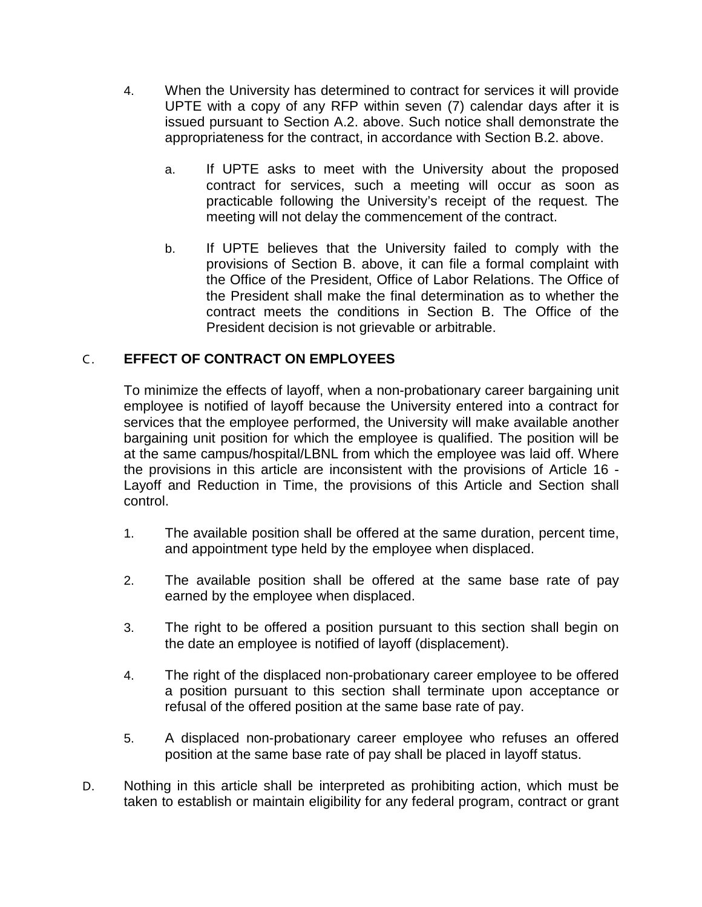- 4. When the University has determined to contract for services it will provide UPTE with a copy of any RFP within seven (7) calendar days after it is issued pursuant to Section A.2. above. Such notice shall demonstrate the appropriateness for the contract, in accordance with Section B.2. above.
	- a. If UPTE asks to meet with the University about the proposed contract for services, such a meeting will occur as soon as practicable following the University's receipt of the request. The meeting will not delay the commencement of the contract.
	- b. If UPTE believes that the University failed to comply with the provisions of Section B. above, it can file a formal complaint with the Office of the President, Office of Labor Relations. The Office of the President shall make the final determination as to whether the contract meets the conditions in Section B. The Office of the President decision is not grievable or arbitrable.

## C . **EFFECT OF CONTRACT ON EMPLOYEES**

To minimize the effects of layoff, when a non-probationary career bargaining unit employee is notified of layoff because the University entered into a contract for services that the employee performed, the University will make available another bargaining unit position for which the employee is qualified. The position will be at the same campus/hospital/LBNL from which the employee was laid off. Where the provisions in this article are inconsistent with the provisions of Article 16 - Layoff and Reduction in Time, the provisions of this Article and Section shall control.

- 1. The available position shall be offered at the same duration, percent time, and appointment type held by the employee when displaced.
- 2. The available position shall be offered at the same base rate of pay earned by the employee when displaced.
- 3. The right to be offered a position pursuant to this section shall begin on the date an employee is notified of layoff (displacement).
- 4. The right of the displaced non-probationary career employee to be offered a position pursuant to this section shall terminate upon acceptance or refusal of the offered position at the same base rate of pay.
- 5. A displaced non-probationary career employee who refuses an offered position at the same base rate of pay shall be placed in layoff status.
- D. Nothing in this article shall be interpreted as prohibiting action, which must be taken to establish or maintain eligibility for any federal program, contract or grant